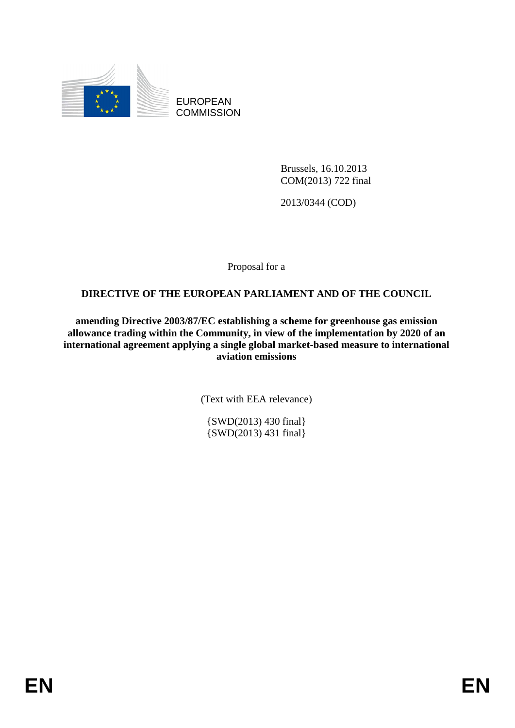

EUROPEAN **COMMISSION** 

> Brussels, 16.10.2013 COM(2013) 722 final

2013/0344 (COD)

Proposal for a

# **DIRECTIVE OF THE EUROPEAN PARLIAMENT AND OF THE COUNCIL**

**amending Directive 2003/87/EC establishing a scheme for greenhouse gas emission allowance trading within the Community, in view of the implementation by 2020 of an international agreement applying a single global market-based measure to international aviation emissions** 

(Text with EEA relevance)

{SWD(2013) 430 final} {SWD(2013) 431 final}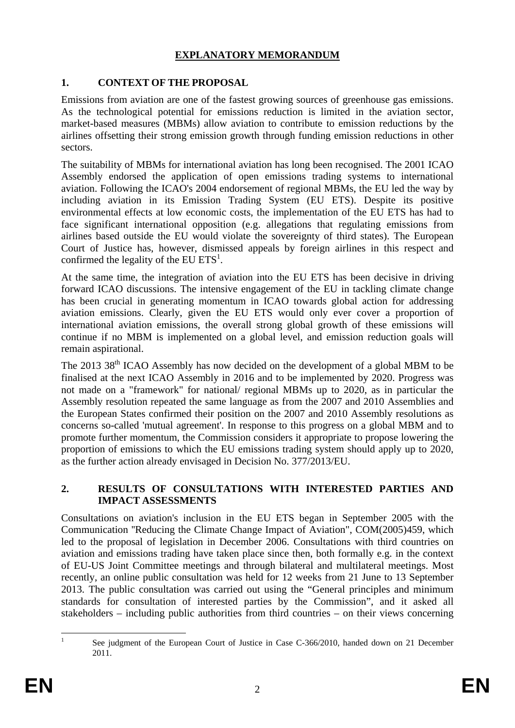### **EXPLANATORY MEMORANDUM**

# **1. CONTEXT OF THE PROPOSAL**

Emissions from aviation are one of the fastest growing sources of greenhouse gas emissions. As the technological potential for emissions reduction is limited in the aviation sector, market-based measures (MBMs) allow aviation to contribute to emission reductions by the airlines offsetting their strong emission growth through funding emission reductions in other sectors.

The suitability of MBMs for international aviation has long been recognised. The 2001 ICAO Assembly endorsed the application of open emissions trading systems to international aviation. Following the ICAO's 2004 endorsement of regional MBMs, the EU led the way by including aviation in its Emission Trading System (EU ETS). Despite its positive environmental effects at low economic costs, the implementation of the EU ETS has had to face significant international opposition (e.g. allegations that regulating emissions from airlines based outside the EU would violate the sovereignty of third states). The European Court of Justice has, however, dismissed appeals by foreign airlines in this respect and confirmed the legality of the EU  $ETS<sup>1</sup>$ .

At the same time, the integration of aviation into the EU ETS has been decisive in driving forward ICAO discussions. The intensive engagement of the EU in tackling climate change has been crucial in generating momentum in ICAO towards global action for addressing aviation emissions. Clearly, given the EU ETS would only ever cover a proportion of international aviation emissions, the overall strong global growth of these emissions will continue if no MBM is implemented on a global level, and emission reduction goals will remain aspirational.

The 2013 38<sup>th</sup> ICAO Assembly has now decided on the development of a global MBM to be finalised at the next ICAO Assembly in 2016 and to be implemented by 2020. Progress was not made on a "framework" for national/ regional MBMs up to 2020, as in particular the Assembly resolution repeated the same language as from the 2007 and 2010 Assemblies and the European States confirmed their position on the 2007 and 2010 Assembly resolutions as concerns so-called 'mutual agreement'. In response to this progress on a global MBM and to promote further momentum, the Commission considers it appropriate to propose lowering the proportion of emissions to which the EU emissions trading system should apply up to 2020, as the further action already envisaged in Decision No. 377/2013/EU.

### **2. RESULTS OF CONSULTATIONS WITH INTERESTED PARTIES AND IMPACT ASSESSMENTS**

Consultations on aviation's inclusion in the EU ETS began in September 2005 with the Communication ''Reducing the Climate Change Impact of Aviation", COM(2005)459, which led to the proposal of legislation in December 2006. Consultations with third countries on aviation and emissions trading have taken place since then, both formally e.g. in the context of EU-US Joint Committee meetings and through bilateral and multilateral meetings. Most recently, an online public consultation was held for 12 weeks from 21 June to 13 September 2013. The public consultation was carried out using the "General principles and minimum standards for consultation of interested parties by the Commission", and it asked all stakeholders – including public authorities from third countries – on their views concerning

 $\frac{1}{1}$  See judgment of the European Court of Justice in Case C-366/2010, handed down on 21 December 2011.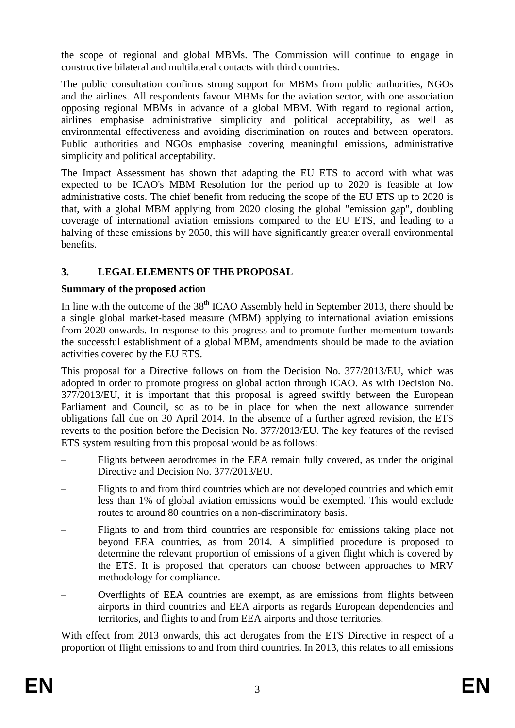the scope of regional and global MBMs. The Commission will continue to engage in constructive bilateral and multilateral contacts with third countries.

The public consultation confirms strong support for MBMs from public authorities, NGOs and the airlines. All respondents favour MBMs for the aviation sector, with one association opposing regional MBMs in advance of a global MBM. With regard to regional action, airlines emphasise administrative simplicity and political acceptability, as well as environmental effectiveness and avoiding discrimination on routes and between operators. Public authorities and NGOs emphasise covering meaningful emissions, administrative simplicity and political acceptability.

The Impact Assessment has shown that adapting the EU ETS to accord with what was expected to be ICAO's MBM Resolution for the period up to 2020 is feasible at low administrative costs. The chief benefit from reducing the scope of the EU ETS up to 2020 is that, with a global MBM applying from 2020 closing the global "emission gap", doubling coverage of international aviation emissions compared to the EU ETS, and leading to a halving of these emissions by 2050, this will have significantly greater overall environmental benefits.

# **3. LEGAL ELEMENTS OF THE PROPOSAL**

# **Summary of the proposed action**

In line with the outcome of the  $38<sup>th</sup>$  ICAO Assembly held in September 2013, there should be a single global market-based measure (MBM) applying to international aviation emissions from 2020 onwards. In response to this progress and to promote further momentum towards the successful establishment of a global MBM, amendments should be made to the aviation activities covered by the EU ETS.

This proposal for a Directive follows on from the Decision No. 377/2013/EU, which was adopted in order to promote progress on global action through ICAO. As with Decision No. 377/2013/EU, it is important that this proposal is agreed swiftly between the European Parliament and Council, so as to be in place for when the next allowance surrender obligations fall due on 30 April 2014. In the absence of a further agreed revision, the ETS reverts to the position before the Decision No. 377/2013/EU. The key features of the revised ETS system resulting from this proposal would be as follows:

- Flights between aerodromes in the EEA remain fully covered, as under the original Directive and Decision No. 377/2013/EU.
- Flights to and from third countries which are not developed countries and which emit less than 1% of global aviation emissions would be exempted. This would exclude routes to around 80 countries on a non-discriminatory basis.
- Flights to and from third countries are responsible for emissions taking place not beyond EEA countries, as from 2014. A simplified procedure is proposed to determine the relevant proportion of emissions of a given flight which is covered by the ETS. It is proposed that operators can choose between approaches to MRV methodology for compliance.
- Overflights of EEA countries are exempt, as are emissions from flights between airports in third countries and EEA airports as regards European dependencies and territories, and flights to and from EEA airports and those territories.

With effect from 2013 onwards, this act derogates from the ETS Directive in respect of a proportion of flight emissions to and from third countries. In 2013, this relates to all emissions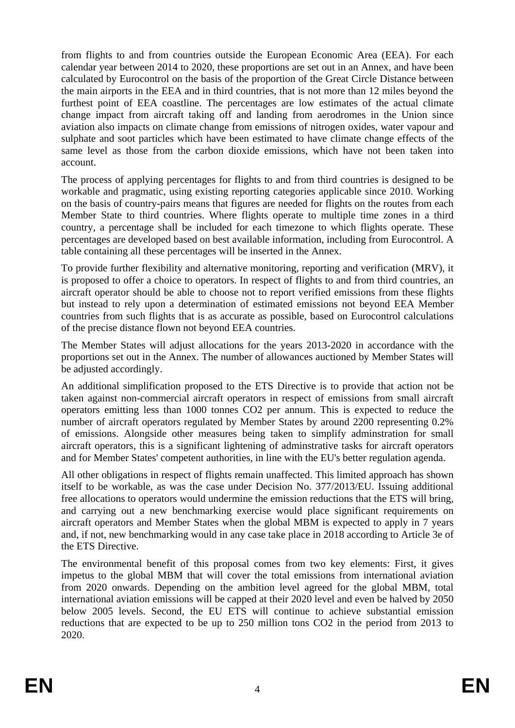from flights to and from countries outside the European Economic Area (EEA). For each calendar year between 2014 to 2020, these proportions are set out in an Annex, and have been calculated by Eurocontrol on the basis of the proportion of the Great Circle Distance between the main airports in the EEA and in third countries, that is not more than 12 miles beyond the furthest point of EEA coastline. The percentages are low estimates of the actual climate change impact from aircraft taking off and landing from aerodromes in the Union since aviation also impacts on climate change from emissions of nitrogen oxides, water vapour and sulphate and soot particles which have been estimated to have climate change effects of the same level as those from the carbon dioxide emissions, which have not been taken into account.

The process of applying percentages for flights to and from third countries is designed to be workable and pragmatic, using existing reporting categories applicable since 2010. Working on the basis of country-pairs means that figures are needed for flights on the routes from each Member State to third countries. Where flights operate to multiple time zones in a third country, a percentage shall be included for each timezone to which flights operate. These percentages are developed based on best available information, including from Eurocontrol. A table containing all these percentages will be inserted in the Annex.

To provide further flexibility and alternative monitoring, reporting and verification (MRV), it is proposed to offer a choice to operators. In respect of flights to and from third countries, an aircraft operator should be able to choose not to report verified emissions from these flights but instead to rely upon a determination of estimated emissions not beyond EEA Member countries from such flights that is as accurate as possible, based on Eurocontrol calculations of the precise distance flown not beyond EEA countries.

The Member States will adjust allocations for the years 2013-2020 in accordance with the proportions set out in the Annex. The number of allowances auctioned by Member States will be adjusted accordingly.

An additional simplification proposed to the ETS Directive is to provide that action not be taken against non-commercial aircraft operators in respect of emissions from small aircraft operators emitting less than 1000 tonnes CO2 per annum. This is expected to reduce the number of aircraft operators regulated by Member States by around 2200 representing 0.2% of emissions. Alongside other measures being taken to simplify adminstration for small aircraft operators, this is a significant lightening of adminstrative tasks for aircraft operators and for Member States' competent authorities, in line with the EU's better regulation agenda.

All other obligations in respect of flights remain unaffected. This limited approach has shown itself to be workable, as was the case under Decision No. 377/2013/EU. Issuing additional free allocations to operators would undermine the emission reductions that the ETS will bring, and carrying out a new benchmarking exercise would place significant requirements on aircraft operators and Member States when the global MBM is expected to apply in 7 years and, if not, new benchmarking would in any case take place in 2018 according to Article 3e of the ETS Directive.

The environmental benefit of this proposal comes from two key elements: First, it gives impetus to the global MBM that will cover the total emissions from international aviation from 2020 onwards. Depending on the ambition level agreed for the global MBM, total international aviation emissions will be capped at their 2020 level and even be halved by 2050 below 2005 levels. Second, the EU ETS will continue to achieve substantial emission reductions that are expected to be up to 250 million tons CO2 in the period from 2013 to 2020.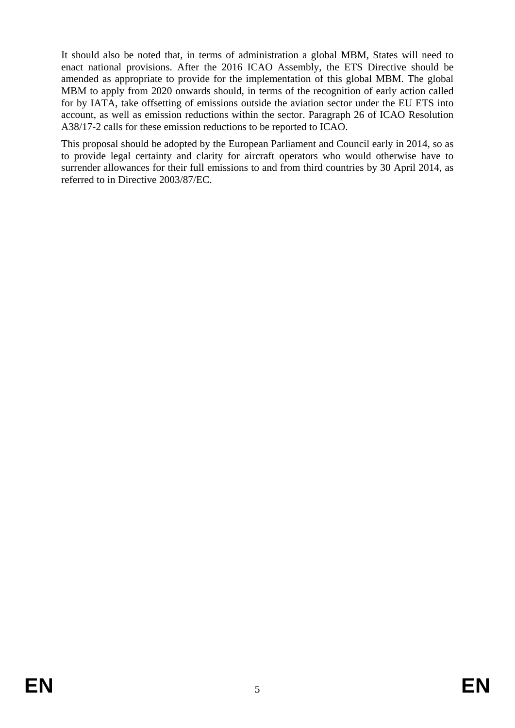It should also be noted that, in terms of administration a global MBM, States will need to enact national provisions. After the 2016 ICAO Assembly, the ETS Directive should be amended as appropriate to provide for the implementation of this global MBM. The global MBM to apply from 2020 onwards should, in terms of the recognition of early action called for by IATA, take offsetting of emissions outside the aviation sector under the EU ETS into account, as well as emission reductions within the sector. Paragraph 26 of ICAO Resolution A38/17-2 calls for these emission reductions to be reported to ICAO.

This proposal should be adopted by the European Parliament and Council early in 2014, so as to provide legal certainty and clarity for aircraft operators who would otherwise have to surrender allowances for their full emissions to and from third countries by 30 April 2014, as referred to in Directive 2003/87/EC.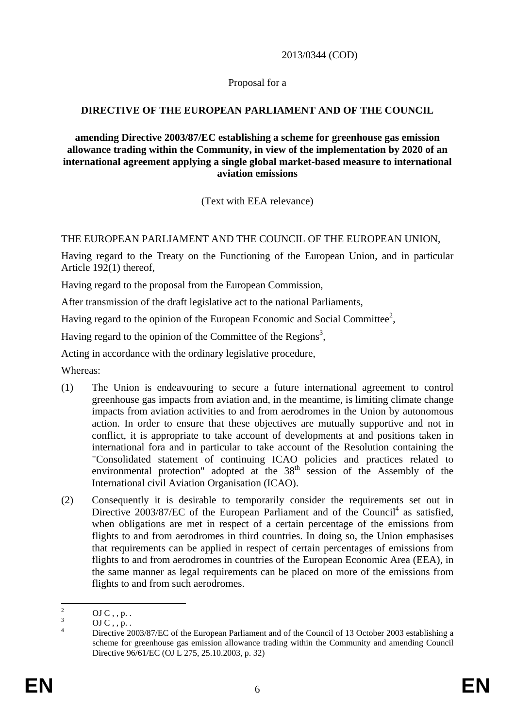2013/0344 (COD)

#### Proposal for a

### **DIRECTIVE OF THE EUROPEAN PARLIAMENT AND OF THE COUNCIL**

#### **amending Directive 2003/87/EC establishing a scheme for greenhouse gas emission allowance trading within the Community, in view of the implementation by 2020 of an international agreement applying a single global market-based measure to international aviation emissions**

(Text with EEA relevance)

### THE EUROPEAN PARLIAMENT AND THE COUNCIL OF THE EUROPEAN UNION,

Having regard to the Treaty on the Functioning of the European Union, and in particular Article 192(1) thereof,

Having regard to the proposal from the European Commission,

After transmission of the draft legislative act to the national Parliaments,

Having regard to the opinion of the European Economic and Social Committee<sup>2</sup>,

Having regard to the opinion of the Committee of the Regions<sup>3</sup>,

Acting in accordance with the ordinary legislative procedure,

Whereas:

- (1) The Union is endeavouring to secure a future international agreement to control greenhouse gas impacts from aviation and, in the meantime, is limiting climate change impacts from aviation activities to and from aerodromes in the Union by autonomous action. In order to ensure that these objectives are mutually supportive and not in conflict, it is appropriate to take account of developments at and positions taken in international fora and in particular to take account of the Resolution containing the "Consolidated statement of continuing ICAO policies and practices related to environmental protection" adopted at the 38<sup>th</sup> session of the Assembly of the International civil Aviation Organisation (ICAO).
- (2) Consequently it is desirable to temporarily consider the requirements set out in Directive  $2003/87/EC$  of the European Parliament and of the Council<sup>4</sup> as satisfied, when obligations are met in respect of a certain percentage of the emissions from flights to and from aerodromes in third countries. In doing so, the Union emphasises that requirements can be applied in respect of certain percentages of emissions from flights to and from aerodromes in countries of the European Economic Area (EEA), in the same manner as legal requirements can be placed on more of the emissions from flights to and from such aerodromes.

 $\frac{1}{2}$  $OJ C$ , , p. .

<sup>3</sup> OJ  $C$ ,  $p$ .

<sup>4</sup> Directive 2003/87/EC of the European Parliament and of the Council of 13 October 2003 establishing a scheme for greenhouse gas emission allowance trading within the Community and amending Council Directive 96/61/EC (OJ L 275, 25.10.2003, p. 32)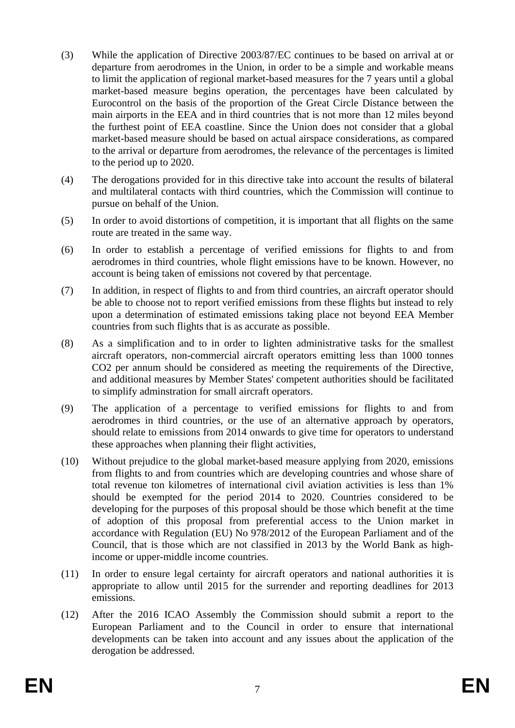- (3) While the application of Directive 2003/87/EC continues to be based on arrival at or departure from aerodromes in the Union, in order to be a simple and workable means to limit the application of regional market-based measures for the 7 years until a global market-based measure begins operation, the percentages have been calculated by Eurocontrol on the basis of the proportion of the Great Circle Distance between the main airports in the EEA and in third countries that is not more than 12 miles beyond the furthest point of EEA coastline. Since the Union does not consider that a global market-based measure should be based on actual airspace considerations, as compared to the arrival or departure from aerodromes, the relevance of the percentages is limited to the period up to 2020.
- (4) The derogations provided for in this directive take into account the results of bilateral and multilateral contacts with third countries, which the Commission will continue to pursue on behalf of the Union.
- (5) In order to avoid distortions of competition, it is important that all flights on the same route are treated in the same way.
- (6) In order to establish a percentage of verified emissions for flights to and from aerodromes in third countries, whole flight emissions have to be known. However, no account is being taken of emissions not covered by that percentage.
- (7) In addition, in respect of flights to and from third countries, an aircraft operator should be able to choose not to report verified emissions from these flights but instead to rely upon a determination of estimated emissions taking place not beyond EEA Member countries from such flights that is as accurate as possible.
- (8) As a simplification and to in order to lighten administrative tasks for the smallest aircraft operators, non-commercial aircraft operators emitting less than 1000 tonnes CO2 per annum should be considered as meeting the requirements of the Directive, and additional measures by Member States' competent authorities should be facilitated to simplify adminstration for small aircraft operators.
- (9) The application of a percentage to verified emissions for flights to and from aerodromes in third countries, or the use of an alternative approach by operators, should relate to emissions from 2014 onwards to give time for operators to understand these approaches when planning their flight activities,
- (10) Without prejudice to the global market-based measure applying from 2020, emissions from flights to and from countries which are developing countries and whose share of total revenue ton kilometres of international civil aviation activities is less than 1% should be exempted for the period 2014 to 2020. Countries considered to be developing for the purposes of this proposal should be those which benefit at the time of adoption of this proposal from preferential access to the Union market in accordance with Regulation (EU) No 978/2012 of the European Parliament and of the Council, that is those which are not classified in 2013 by the World Bank as highincome or upper-middle income countries.
- (11) In order to ensure legal certainty for aircraft operators and national authorities it is appropriate to allow until 2015 for the surrender and reporting deadlines for 2013 emissions.
- (12) After the 2016 ICAO Assembly the Commission should submit a report to the European Parliament and to the Council in order to ensure that international developments can be taken into account and any issues about the application of the derogation be addressed.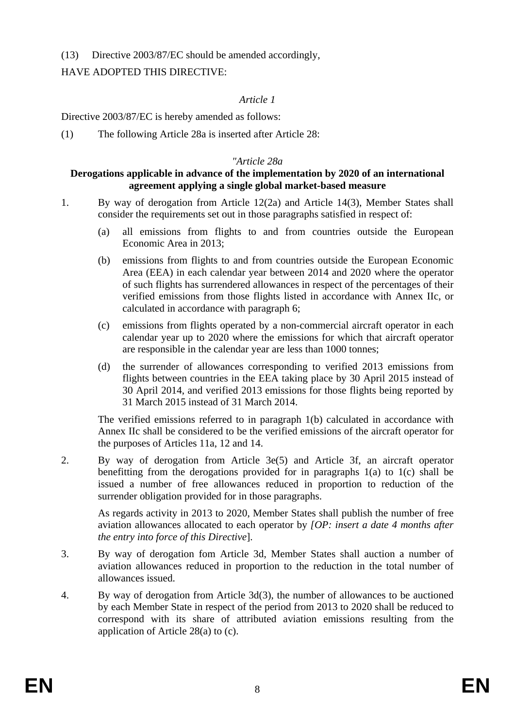(13) Directive 2003/87/EC should be amended accordingly,

### HAVE ADOPTED THIS DIRECTIVE:

### *Article 1*

Directive 2003/87/EC is hereby amended as follows:

(1) The following Article 28a is inserted after Article 28:

#### *"Article 28a*

#### **Derogations applicable in advance of the implementation by 2020 of an international agreement applying a single global market-based measure**

- 1. By way of derogation from Article 12(2a) and Article 14(3), Member States shall consider the requirements set out in those paragraphs satisfied in respect of:
	- (a) all emissions from flights to and from countries outside the European Economic Area in 2013;
	- (b) emissions from flights to and from countries outside the European Economic Area (EEA) in each calendar year between 2014 and 2020 where the operator of such flights has surrendered allowances in respect of the percentages of their verified emissions from those flights listed in accordance with Annex IIc, or calculated in accordance with paragraph 6;
	- (c) emissions from flights operated by a non-commercial aircraft operator in each calendar year up to 2020 where the emissions for which that aircraft operator are responsible in the calendar year are less than 1000 tonnes;
	- (d) the surrender of allowances corresponding to verified 2013 emissions from flights between countries in the EEA taking place by 30 April 2015 instead of 30 April 2014, and verified 2013 emissions for those flights being reported by 31 March 2015 instead of 31 March 2014.

The verified emissions referred to in paragraph 1(b) calculated in accordance with Annex IIc shall be considered to be the verified emissions of the aircraft operator for the purposes of Articles 11a, 12 and 14.

2. By way of derogation from Article 3e(5) and Article 3f, an aircraft operator benefitting from the derogations provided for in paragraphs 1(a) to 1(c) shall be issued a number of free allowances reduced in proportion to reduction of the surrender obligation provided for in those paragraphs.

As regards activity in 2013 to 2020, Member States shall publish the number of free aviation allowances allocated to each operator by *[OP: insert a date 4 months after the entry into force of this Directive*].

- 3. By way of derogation fom Article 3d, Member States shall auction a number of aviation allowances reduced in proportion to the reduction in the total number of allowances issued.
- 4. By way of derogation from Article 3d(3), the number of allowances to be auctioned by each Member State in respect of the period from 2013 to 2020 shall be reduced to correspond with its share of attributed aviation emissions resulting from the application of Article 28(a) to (c).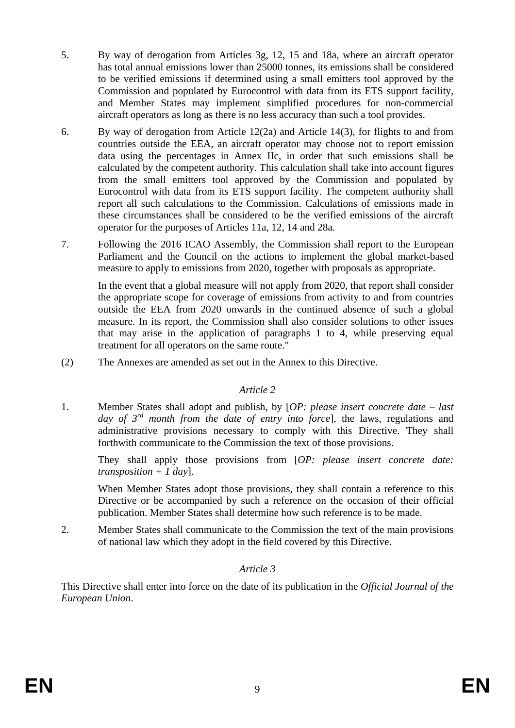- 5. By way of derogation from Articles 3g, 12, 15 and 18a, where an aircraft operator has total annual emissions lower than 25000 tonnes, its emissions shall be considered to be verified emissions if determined using a small emitters tool approved by the Commission and populated by Eurocontrol with data from its ETS support facility, and Member States may implement simplified procedures for non-commercial aircraft operators as long as there is no less accuracy than such a tool provides.
- 6. By way of derogation from Article 12(2a) and Article 14(3), for flights to and from countries outside the EEA, an aircraft operator may choose not to report emission data using the percentages in Annex IIc, in order that such emissions shall be calculated by the competent authority. This calculation shall take into account figures from the small emitters tool approved by the Commission and populated by Eurocontrol with data from its ETS support facility. The competent authority shall report all such calculations to the Commission. Calculations of emissions made in these circumstances shall be considered to be the verified emissions of the aircraft operator for the purposes of Articles 11a, 12, 14 and 28a.
- 7. Following the 2016 ICAO Assembly, the Commission shall report to the European Parliament and the Council on the actions to implement the global market-based measure to apply to emissions from 2020, together with proposals as appropriate.

In the event that a global measure will not apply from 2020, that report shall consider the appropriate scope for coverage of emissions from activity to and from countries outside the EEA from 2020 onwards in the continued absence of such a global measure. In its report, the Commission shall also consider solutions to other issues that may arise in the application of paragraphs 1 to 4, while preserving equal treatment for all operators on the same route."

(2) The Annexes are amended as set out in the Annex to this Directive.

#### *Article 2*

1. Member States shall adopt and publish, by [*OP: please insert concrete date – last day of 3rd month from the date of entry into force*], the laws, regulations and administrative provisions necessary to comply with this Directive. They shall forthwith communicate to the Commission the text of those provisions.

They shall apply those provisions from [*OP: please insert concrete date: transposition + 1 day*].

When Member States adopt those provisions, they shall contain a reference to this Directive or be accompanied by such a reference on the occasion of their official publication. Member States shall determine how such reference is to be made.

2. Member States shall communicate to the Commission the text of the main provisions of national law which they adopt in the field covered by this Directive.

### *Article 3*

This Directive shall enter into force on the date of its publication in the *Official Journal of the European Union*.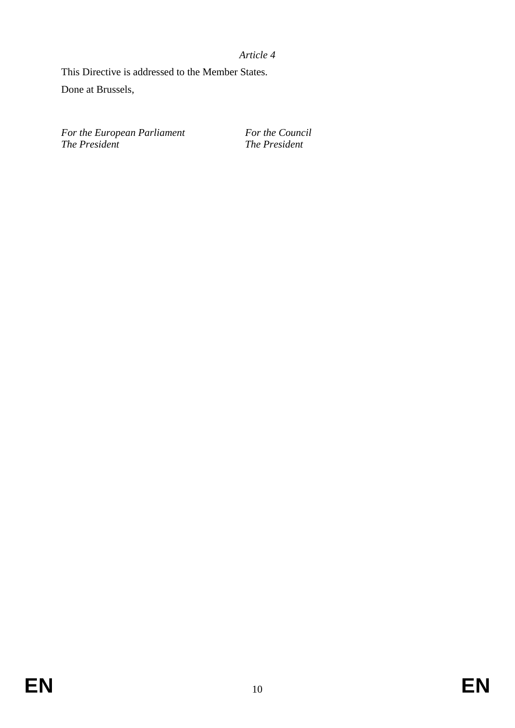*Article 4* 

This Directive is addressed to the Member States. Done at Brussels,

For the European Parliament For the Council *The President The President*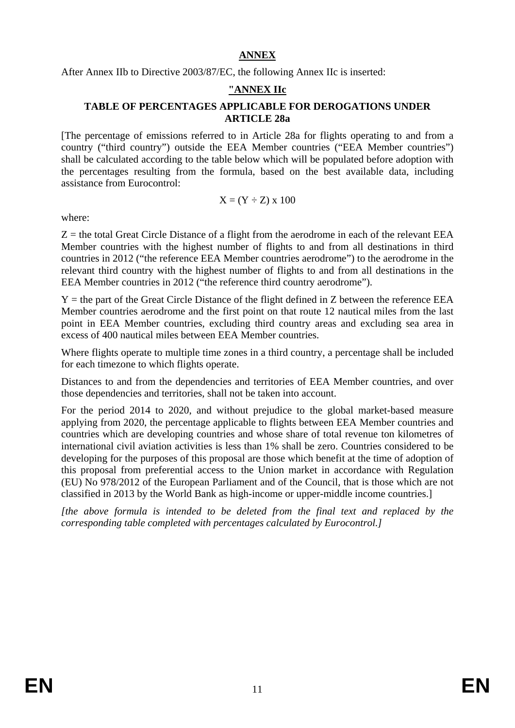#### **ANNEX**

After Annex IIb to Directive 2003/87/EC, the following Annex IIc is inserted:

### **"ANNEX IIc**

#### **TABLE OF PERCENTAGES APPLICABLE FOR DEROGATIONS UNDER ARTICLE 28a**

[The percentage of emissions referred to in Article 28a for flights operating to and from a country ("third country") outside the EEA Member countries ("EEA Member countries") shall be calculated according to the table below which will be populated before adoption with the percentages resulting from the formula, based on the best available data, including assistance from Eurocontrol:

$$
X = (Y \div Z) \times 100
$$

where:

 $Z =$  the total Great Circle Distance of a flight from the aerodrome in each of the relevant EEA Member countries with the highest number of flights to and from all destinations in third countries in 2012 ("the reference EEA Member countries aerodrome") to the aerodrome in the relevant third country with the highest number of flights to and from all destinations in the EEA Member countries in 2012 ("the reference third country aerodrome").

 $Y =$  the part of the Great Circle Distance of the flight defined in Z between the reference EEA Member countries aerodrome and the first point on that route 12 nautical miles from the last point in EEA Member countries, excluding third country areas and excluding sea area in excess of 400 nautical miles between EEA Member countries.

Where flights operate to multiple time zones in a third country, a percentage shall be included for each timezone to which flights operate.

Distances to and from the dependencies and territories of EEA Member countries, and over those dependencies and territories, shall not be taken into account.

For the period 2014 to 2020, and without prejudice to the global market-based measure applying from 2020, the percentage applicable to flights between EEA Member countries and countries which are developing countries and whose share of total revenue ton kilometres of international civil aviation activities is less than 1% shall be zero. Countries considered to be developing for the purposes of this proposal are those which benefit at the time of adoption of this proposal from preferential access to the Union market in accordance with Regulation (EU) No 978/2012 of the European Parliament and of the Council, that is those which are not classified in 2013 by the World Bank as high-income or upper-middle income countries.]

*[the above formula is intended to be deleted from the final text and replaced by the corresponding table completed with percentages calculated by Eurocontrol.]*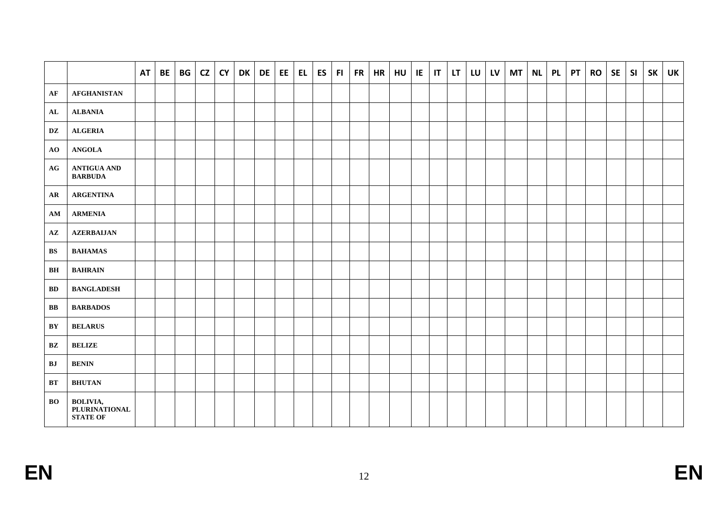|                        |                                                     | <b>AT</b> | <b>BE</b> | BG | CZ | <b>CY</b> | <b>DK</b> | DE | EE | EL | <b>ES</b> | F1 | FR | <b>HR</b> | HU | E | T | LT. | $LU$ $LV$ | <b>MT</b> | <b>NL</b> | <b>PL</b> | <b>PT</b> | <b>RO</b> | <b>SE</b> | SI | <b>SK</b> | UK |
|------------------------|-----------------------------------------------------|-----------|-----------|----|----|-----------|-----------|----|----|----|-----------|----|----|-----------|----|---|---|-----|-----------|-----------|-----------|-----------|-----------|-----------|-----------|----|-----------|----|
| AF                     | <b>AFGHANISTAN</b>                                  |           |           |    |    |           |           |    |    |    |           |    |    |           |    |   |   |     |           |           |           |           |           |           |           |    |           |    |
| AL                     | <b>ALBANIA</b>                                      |           |           |    |    |           |           |    |    |    |           |    |    |           |    |   |   |     |           |           |           |           |           |           |           |    |           |    |
| DZ                     | <b>ALGERIA</b>                                      |           |           |    |    |           |           |    |    |    |           |    |    |           |    |   |   |     |           |           |           |           |           |           |           |    |           |    |
| AO                     | <b>ANGOLA</b>                                       |           |           |    |    |           |           |    |    |    |           |    |    |           |    |   |   |     |           |           |           |           |           |           |           |    |           |    |
| AG                     | <b>ANTIGUA AND</b><br><b>BARBUDA</b>                |           |           |    |    |           |           |    |    |    |           |    |    |           |    |   |   |     |           |           |           |           |           |           |           |    |           |    |
| AR                     | <b>ARGENTINA</b>                                    |           |           |    |    |           |           |    |    |    |           |    |    |           |    |   |   |     |           |           |           |           |           |           |           |    |           |    |
| AM                     | <b>ARMENIA</b>                                      |           |           |    |    |           |           |    |    |    |           |    |    |           |    |   |   |     |           |           |           |           |           |           |           |    |           |    |
| ${\bf AZ}$             | <b>AZERBAIJAN</b>                                   |           |           |    |    |           |           |    |    |    |           |    |    |           |    |   |   |     |           |           |           |           |           |           |           |    |           |    |
| BS                     | <b>BAHAMAS</b>                                      |           |           |    |    |           |           |    |    |    |           |    |    |           |    |   |   |     |           |           |           |           |           |           |           |    |           |    |
| BH                     | <b>BAHRAIN</b>                                      |           |           |    |    |           |           |    |    |    |           |    |    |           |    |   |   |     |           |           |           |           |           |           |           |    |           |    |
| BD                     | <b>BANGLADESH</b>                                   |           |           |    |    |           |           |    |    |    |           |    |    |           |    |   |   |     |           |           |           |           |           |           |           |    |           |    |
| $\mathbf{B}$           | <b>BARBADOS</b>                                     |           |           |    |    |           |           |    |    |    |           |    |    |           |    |   |   |     |           |           |           |           |           |           |           |    |           |    |
| BY                     | <b>BELARUS</b>                                      |           |           |    |    |           |           |    |    |    |           |    |    |           |    |   |   |     |           |           |           |           |           |           |           |    |           |    |
| $\mathbf{B}\mathbf{Z}$ | <b>BELIZE</b>                                       |           |           |    |    |           |           |    |    |    |           |    |    |           |    |   |   |     |           |           |           |           |           |           |           |    |           |    |
| ${\bf B} {\bf J}$      | <b>BENIN</b>                                        |           |           |    |    |           |           |    |    |    |           |    |    |           |    |   |   |     |           |           |           |           |           |           |           |    |           |    |
| <b>BT</b>              | <b>BHUTAN</b>                                       |           |           |    |    |           |           |    |    |    |           |    |    |           |    |   |   |     |           |           |           |           |           |           |           |    |           |    |
| BO                     | <b>BOLIVIA,</b><br>PLURINATIONAL<br><b>STATE OF</b> |           |           |    |    |           |           |    |    |    |           |    |    |           |    |   |   |     |           |           |           |           |           |           |           |    |           |    |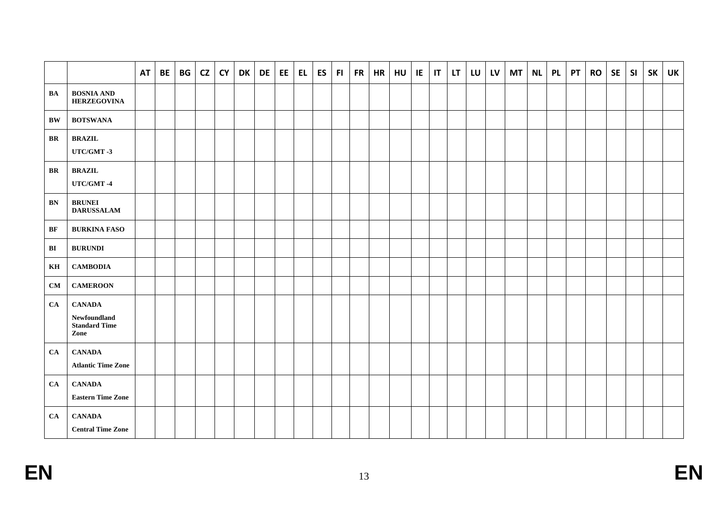|               |                                                               | <b>AT</b> | <b>BE</b> | BG | $cz$ | <b>CY</b> | DK | DE | EE | EL | ES | FL. | $FR$ HR | HU | IE | $\mathsf{I}$ | LT | LU LV | <b>MT</b> | <b>NL</b> | <b>PL</b> | PT | RO | <b>SE</b> | SI | <b>SK</b> | UK |
|---------------|---------------------------------------------------------------|-----------|-----------|----|------|-----------|----|----|----|----|----|-----|---------|----|----|--------------|----|-------|-----------|-----------|-----------|----|----|-----------|----|-----------|----|
| <b>BA</b>     | <b>BOSNIA AND</b><br><b>HERZEGOVINA</b>                       |           |           |    |      |           |    |    |    |    |    |     |         |    |    |              |    |       |           |           |           |    |    |           |    |           |    |
| $\mathbf{BW}$ | <b>BOTSWANA</b>                                               |           |           |    |      |           |    |    |    |    |    |     |         |    |    |              |    |       |           |           |           |    |    |           |    |           |    |
| BR            | <b>BRAZIL</b><br>UTC/GMT-3                                    |           |           |    |      |           |    |    |    |    |    |     |         |    |    |              |    |       |           |           |           |    |    |           |    |           |    |
| BR            | <b>BRAZIL</b><br>UTC/GMT-4                                    |           |           |    |      |           |    |    |    |    |    |     |         |    |    |              |    |       |           |           |           |    |    |           |    |           |    |
| <b>BN</b>     | <b>BRUNEI</b><br><b>DARUSSALAM</b>                            |           |           |    |      |           |    |    |    |    |    |     |         |    |    |              |    |       |           |           |           |    |    |           |    |           |    |
| BF            | <b>BURKINA FASO</b>                                           |           |           |    |      |           |    |    |    |    |    |     |         |    |    |              |    |       |           |           |           |    |    |           |    |           |    |
| BI            | <b>BURUNDI</b>                                                |           |           |    |      |           |    |    |    |    |    |     |         |    |    |              |    |       |           |           |           |    |    |           |    |           |    |
| KH            | <b>CAMBODIA</b>                                               |           |           |    |      |           |    |    |    |    |    |     |         |    |    |              |    |       |           |           |           |    |    |           |    |           |    |
| CM            | <b>CAMEROON</b>                                               |           |           |    |      |           |    |    |    |    |    |     |         |    |    |              |    |       |           |           |           |    |    |           |    |           |    |
| CA            | <b>CANADA</b><br>Newfoundland<br><b>Standard Time</b><br>Zone |           |           |    |      |           |    |    |    |    |    |     |         |    |    |              |    |       |           |           |           |    |    |           |    |           |    |
| CA            | <b>CANADA</b><br><b>Atlantic Time Zone</b>                    |           |           |    |      |           |    |    |    |    |    |     |         |    |    |              |    |       |           |           |           |    |    |           |    |           |    |
| CA            | <b>CANADA</b><br><b>Eastern Time Zone</b>                     |           |           |    |      |           |    |    |    |    |    |     |         |    |    |              |    |       |           |           |           |    |    |           |    |           |    |
| CA            | <b>CANADA</b><br><b>Central Time Zone</b>                     |           |           |    |      |           |    |    |    |    |    |     |         |    |    |              |    |       |           |           |           |    |    |           |    |           |    |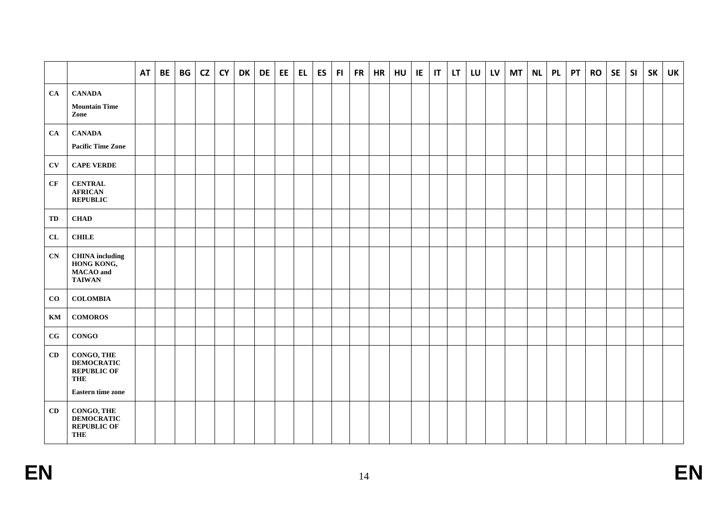|                        |                                                                                                 | <b>AT</b> | <b>BE</b> | BG | CZ | <b>CY</b> | <b>DK</b> | DE | EE | EL. | <b>ES</b> | F1 | FR | <b>HR</b> | HU | IE | $\mathsf{I}$ | LT. | LU | <b>LV</b> | <b>MT</b> | <b>NL</b> | <b>PL</b> | <b>PT</b> | <b>RO</b> | <b>SE</b> | SI | <b>SK</b> | <b>UK</b> |
|------------------------|-------------------------------------------------------------------------------------------------|-----------|-----------|----|----|-----------|-----------|----|----|-----|-----------|----|----|-----------|----|----|--------------|-----|----|-----------|-----------|-----------|-----------|-----------|-----------|-----------|----|-----------|-----------|
| CA                     | <b>CANADA</b><br><b>Mountain Time</b><br>Zone                                                   |           |           |    |    |           |           |    |    |     |           |    |    |           |    |    |              |     |    |           |           |           |           |           |           |           |    |           |           |
| CA                     | <b>CANADA</b><br><b>Pacific Time Zone</b>                                                       |           |           |    |    |           |           |    |    |     |           |    |    |           |    |    |              |     |    |           |           |           |           |           |           |           |    |           |           |
| <b>CV</b>              | <b>CAPE VERDE</b>                                                                               |           |           |    |    |           |           |    |    |     |           |    |    |           |    |    |              |     |    |           |           |           |           |           |           |           |    |           |           |
| CF                     | <b>CENTRAL</b><br><b>AFRICAN</b><br><b>REPUBLIC</b>                                             |           |           |    |    |           |           |    |    |     |           |    |    |           |    |    |              |     |    |           |           |           |           |           |           |           |    |           |           |
| TD                     | <b>CHAD</b>                                                                                     |           |           |    |    |           |           |    |    |     |           |    |    |           |    |    |              |     |    |           |           |           |           |           |           |           |    |           |           |
| ${\bf CL}$             | $\tt{CHILE}$                                                                                    |           |           |    |    |           |           |    |    |     |           |    |    |           |    |    |              |     |    |           |           |           |           |           |           |           |    |           |           |
| CN                     | <b>CHINA</b> including<br>HONG KONG,<br><b>MACAO</b> and<br><b>TAIWAN</b>                       |           |           |    |    |           |           |    |    |     |           |    |    |           |    |    |              |     |    |           |           |           |           |           |           |           |    |           |           |
| $\bf{CO}$              | <b>COLOMBIA</b>                                                                                 |           |           |    |    |           |           |    |    |     |           |    |    |           |    |    |              |     |    |           |           |           |           |           |           |           |    |           |           |
| $\mathbf{K}\mathbf{M}$ | <b>COMOROS</b>                                                                                  |           |           |    |    |           |           |    |    |     |           |    |    |           |    |    |              |     |    |           |           |           |           |           |           |           |    |           |           |
| $_{\rm CG}$            | <b>CONGO</b>                                                                                    |           |           |    |    |           |           |    |    |     |           |    |    |           |    |    |              |     |    |           |           |           |           |           |           |           |    |           |           |
| CD                     | CONGO, THE<br><b>DEMOCRATIC</b><br><b>REPUBLIC OF</b><br><b>THE</b><br><b>Eastern time zone</b> |           |           |    |    |           |           |    |    |     |           |    |    |           |    |    |              |     |    |           |           |           |           |           |           |           |    |           |           |
| CD                     | CONGO, THE<br><b>DEMOCRATIC</b><br><b>REPUBLIC OF</b><br><b>THE</b>                             |           |           |    |    |           |           |    |    |     |           |    |    |           |    |    |              |     |    |           |           |           |           |           |           |           |    |           |           |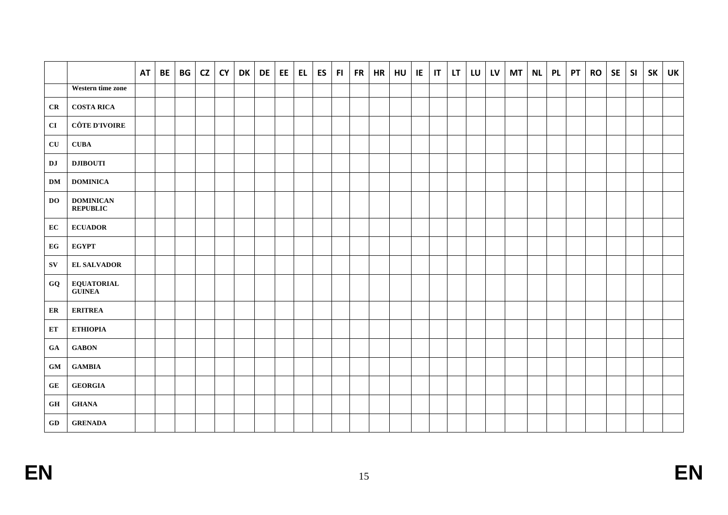|                                     |                                     | <b>AT</b> | BE | BG | CZ | <b>CY</b> | DK | <b>DE</b> | EE | EL | ES | FI. | FR | <b>HR</b> | HU | IE | $\mathbf{I}$ | LT. | LU | LV | <b>MT</b> | <b>NL</b> | <b>PL</b> | <b>PT</b> | <b>RO</b> | <b>SE</b> | SI | <b>SK</b> | <b>UK</b> |
|-------------------------------------|-------------------------------------|-----------|----|----|----|-----------|----|-----------|----|----|----|-----|----|-----------|----|----|--------------|-----|----|----|-----------|-----------|-----------|-----------|-----------|-----------|----|-----------|-----------|
|                                     | Western time zone                   |           |    |    |    |           |    |           |    |    |    |     |    |           |    |    |              |     |    |    |           |           |           |           |           |           |    |           |           |
| CR                                  | <b>COSTA RICA</b>                   |           |    |    |    |           |    |           |    |    |    |     |    |           |    |    |              |     |    |    |           |           |           |           |           |           |    |           |           |
| CI                                  | <b>CÔTE D'IVOIRE</b>                |           |    |    |    |           |    |           |    |    |    |     |    |           |    |    |              |     |    |    |           |           |           |           |           |           |    |           |           |
| $\overline{\text{CU}}$              | <b>CUBA</b>                         |           |    |    |    |           |    |           |    |    |    |     |    |           |    |    |              |     |    |    |           |           |           |           |           |           |    |           |           |
| $\mathbf{D}\mathbf{J}$              | <b>DJIBOUTI</b>                     |           |    |    |    |           |    |           |    |    |    |     |    |           |    |    |              |     |    |    |           |           |           |           |           |           |    |           |           |
| <b>DM</b>                           | <b>DOMINICA</b>                     |           |    |    |    |           |    |           |    |    |    |     |    |           |    |    |              |     |    |    |           |           |           |           |           |           |    |           |           |
| <b>DO</b>                           | <b>DOMINICAN</b><br><b>REPUBLIC</b> |           |    |    |    |           |    |           |    |    |    |     |    |           |    |    |              |     |    |    |           |           |           |           |           |           |    |           |           |
| EC                                  | <b>ECUADOR</b>                      |           |    |    |    |           |    |           |    |    |    |     |    |           |    |    |              |     |    |    |           |           |           |           |           |           |    |           |           |
| EG                                  | <b>EGYPT</b>                        |           |    |    |    |           |    |           |    |    |    |     |    |           |    |    |              |     |    |    |           |           |           |           |           |           |    |           |           |
| ${\bf SV}$                          | <b>EL SALVADOR</b>                  |           |    |    |    |           |    |           |    |    |    |     |    |           |    |    |              |     |    |    |           |           |           |           |           |           |    |           |           |
| GQ                                  | <b>EQUATORIAL</b><br><b>GUINEA</b>  |           |    |    |    |           |    |           |    |    |    |     |    |           |    |    |              |     |    |    |           |           |           |           |           |           |    |           |           |
| ER                                  | <b>ERITREA</b>                      |           |    |    |    |           |    |           |    |    |    |     |    |           |    |    |              |     |    |    |           |           |           |           |           |           |    |           |           |
| ET                                  | ЕТНІОРІА                            |           |    |    |    |           |    |           |    |    |    |     |    |           |    |    |              |     |    |    |           |           |           |           |           |           |    |           |           |
| GA                                  | <b>GABON</b>                        |           |    |    |    |           |    |           |    |    |    |     |    |           |    |    |              |     |    |    |           |           |           |           |           |           |    |           |           |
| $\boldsymbol{\mathbf{G}\mathbf{M}}$ | $\operatorname{\mathbf{GAMBIA}}$    |           |    |    |    |           |    |           |    |    |    |     |    |           |    |    |              |     |    |    |           |           |           |           |           |           |    |           |           |
| ${\bf G}{\bf E}$                    | <b>GEORGIA</b>                      |           |    |    |    |           |    |           |    |    |    |     |    |           |    |    |              |     |    |    |           |           |           |           |           |           |    |           |           |
| $\mathbf{G}\mathbf{H}$              | <b>GHANA</b>                        |           |    |    |    |           |    |           |    |    |    |     |    |           |    |    |              |     |    |    |           |           |           |           |           |           |    |           |           |
| $\bf GD$                            | <b>GRENADA</b>                      |           |    |    |    |           |    |           |    |    |    |     |    |           |    |    |              |     |    |    |           |           |           |           |           |           |    |           |           |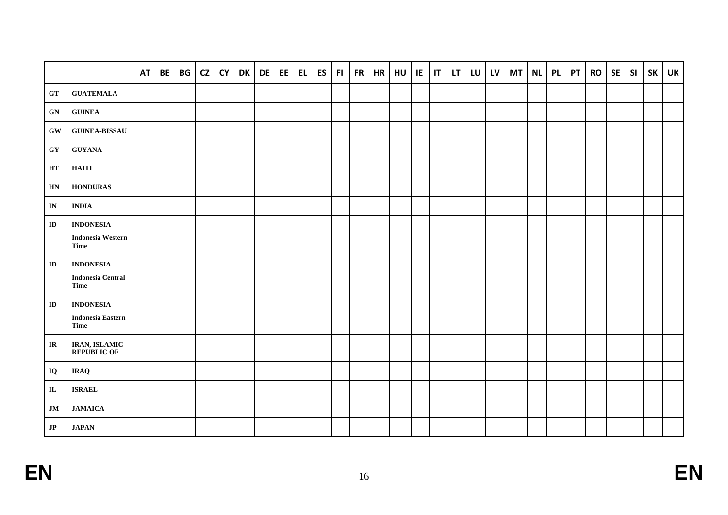|                                                  |                                                      | <b>AT</b> | <b>BE</b> | BG | CZ | <b>CY</b> | <b>DK</b> | DE | EE | <b>EL</b> | <b>ES</b> | F1 | FR | <b>HR</b> | HU | IE | T | LT. | LU | <b>LV</b> | <b>MT</b> | <b>NL</b> | <b>PL</b> | <b>PT</b> | <b>RO</b> | <b>SE</b> | SI | <b>SK</b> | <b>UK</b> |
|--------------------------------------------------|------------------------------------------------------|-----------|-----------|----|----|-----------|-----------|----|----|-----------|-----------|----|----|-----------|----|----|---|-----|----|-----------|-----------|-----------|-----------|-----------|-----------|-----------|----|-----------|-----------|
| ${\bf GT}$                                       | <b>GUATEMALA</b>                                     |           |           |    |    |           |           |    |    |           |           |    |    |           |    |    |   |     |    |           |           |           |           |           |           |           |    |           |           |
| ${\bf GN}$                                       | ${\bf GUINEA}$                                       |           |           |    |    |           |           |    |    |           |           |    |    |           |    |    |   |     |    |           |           |           |           |           |           |           |    |           |           |
| $\boldsymbol{\mathrm{G}}\boldsymbol{\mathrm{W}}$ | <b>GUINEA-BISSAU</b>                                 |           |           |    |    |           |           |    |    |           |           |    |    |           |    |    |   |     |    |           |           |           |           |           |           |           |    |           |           |
| $\boldsymbol{\mathrm{G}}\boldsymbol{\mathrm{Y}}$ | <b>GUYANA</b>                                        |           |           |    |    |           |           |    |    |           |           |    |    |           |    |    |   |     |    |           |           |           |           |           |           |           |    |           |           |
| $\mathbf{H}\mathbf{T}$                           | <b>HAITI</b>                                         |           |           |    |    |           |           |    |    |           |           |    |    |           |    |    |   |     |    |           |           |           |           |           |           |           |    |           |           |
| $\mathbf{H}\mathbf{N}$                           | <b>HONDURAS</b>                                      |           |           |    |    |           |           |    |    |           |           |    |    |           |    |    |   |     |    |           |           |           |           |           |           |           |    |           |           |
| $\mathbf{IN}$                                    | <b>INDIA</b>                                         |           |           |    |    |           |           |    |    |           |           |    |    |           |    |    |   |     |    |           |           |           |           |           |           |           |    |           |           |
| ${\bf ID}$                                       | <b>INDONESIA</b><br><b>Indonesia Western</b><br>Time |           |           |    |    |           |           |    |    |           |           |    |    |           |    |    |   |     |    |           |           |           |           |           |           |           |    |           |           |
| ${\bf ID}$                                       | <b>INDONESIA</b><br><b>Indonesia Central</b><br>Time |           |           |    |    |           |           |    |    |           |           |    |    |           |    |    |   |     |    |           |           |           |           |           |           |           |    |           |           |
| ${\bf ID}$                                       | <b>INDONESIA</b><br><b>Indonesia Eastern</b><br>Time |           |           |    |    |           |           |    |    |           |           |    |    |           |    |    |   |     |    |           |           |           |           |           |           |           |    |           |           |
| $\ensuremath{\mathbf{IR}}\xspace$                | IRAN, ISLAMIC<br><b>REPUBLIC OF</b>                  |           |           |    |    |           |           |    |    |           |           |    |    |           |    |    |   |     |    |           |           |           |           |           |           |           |    |           |           |
| IQ                                               | <b>IRAQ</b>                                          |           |           |    |    |           |           |    |    |           |           |    |    |           |    |    |   |     |    |           |           |           |           |           |           |           |    |           |           |
| ${\bf I\bf L}$                                   | <b>ISRAEL</b>                                        |           |           |    |    |           |           |    |    |           |           |    |    |           |    |    |   |     |    |           |           |           |           |           |           |           |    |           |           |
| $\mathbf{JM}$                                    | <b>JAMAICA</b>                                       |           |           |    |    |           |           |    |    |           |           |    |    |           |    |    |   |     |    |           |           |           |           |           |           |           |    |           |           |
| $\mathbf{J}\mathbf{P}$                           | <b>JAPAN</b>                                         |           |           |    |    |           |           |    |    |           |           |    |    |           |    |    |   |     |    |           |           |           |           |           |           |           |    |           |           |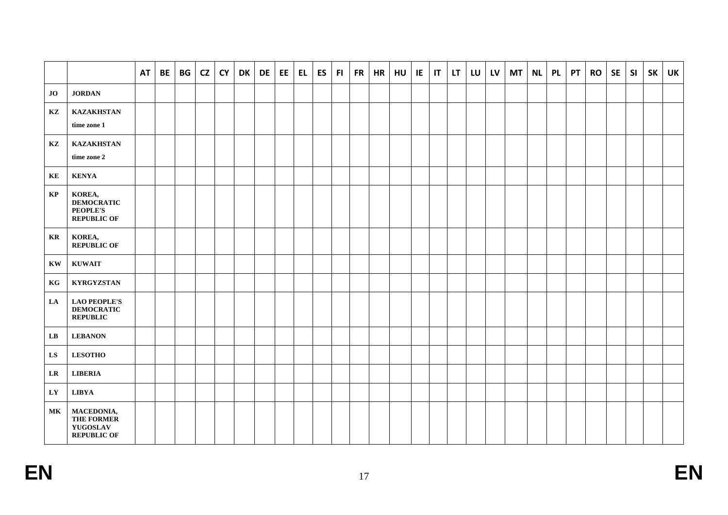|                        |                                                                      | <b>AT</b> | <b>BE</b> | BG | CZ | <b>CY</b> | <b>DK</b> | DE | EE | <b>EL</b> | <b>ES</b> | F1 | FR | <b>HR</b> | HU | IE | IT | <b>LT</b> | LU | <b>LV</b> | <b>MT</b> | <b>NL</b> | <b>PL</b> | <b>PT</b> | <b>RO</b> | <b>SE</b> | SI | <b>SK</b> | UK |
|------------------------|----------------------------------------------------------------------|-----------|-----------|----|----|-----------|-----------|----|----|-----------|-----------|----|----|-----------|----|----|----|-----------|----|-----------|-----------|-----------|-----------|-----------|-----------|-----------|----|-----------|----|
| JO                     | <b>JORDAN</b>                                                        |           |           |    |    |           |           |    |    |           |           |    |    |           |    |    |    |           |    |           |           |           |           |           |           |           |    |           |    |
| KZ                     | <b>KAZAKHSTAN</b><br>time zone 1                                     |           |           |    |    |           |           |    |    |           |           |    |    |           |    |    |    |           |    |           |           |           |           |           |           |           |    |           |    |
| KZ                     | <b>KAZAKHSTAN</b><br>time zone 2                                     |           |           |    |    |           |           |    |    |           |           |    |    |           |    |    |    |           |    |           |           |           |           |           |           |           |    |           |    |
| KE                     | <b>KENYA</b>                                                         |           |           |    |    |           |           |    |    |           |           |    |    |           |    |    |    |           |    |           |           |           |           |           |           |           |    |           |    |
| KP                     | KOREA,<br><b>DEMOCRATIC</b><br><b>PEOPLE'S</b><br><b>REPUBLIC OF</b> |           |           |    |    |           |           |    |    |           |           |    |    |           |    |    |    |           |    |           |           |           |           |           |           |           |    |           |    |
| KR                     | KOREA,<br><b>REPUBLIC OF</b>                                         |           |           |    |    |           |           |    |    |           |           |    |    |           |    |    |    |           |    |           |           |           |           |           |           |           |    |           |    |
| $\mathbf{K}\mathbf{W}$ | <b>KUWAIT</b>                                                        |           |           |    |    |           |           |    |    |           |           |    |    |           |    |    |    |           |    |           |           |           |           |           |           |           |    |           |    |
| KG                     | <b>KYRGYZSTAN</b>                                                    |           |           |    |    |           |           |    |    |           |           |    |    |           |    |    |    |           |    |           |           |           |           |           |           |           |    |           |    |
| LA                     | <b>LAO PEOPLE'S</b><br><b>DEMOCRATIC</b><br><b>REPUBLIC</b>          |           |           |    |    |           |           |    |    |           |           |    |    |           |    |    |    |           |    |           |           |           |           |           |           |           |    |           |    |
| ${\bf L}{\bf B}$       | <b>LEBANON</b>                                                       |           |           |    |    |           |           |    |    |           |           |    |    |           |    |    |    |           |    |           |           |           |           |           |           |           |    |           |    |
| ${\bf L S}$            | <b>LESOTHO</b>                                                       |           |           |    |    |           |           |    |    |           |           |    |    |           |    |    |    |           |    |           |           |           |           |           |           |           |    |           |    |
| LR                     | <b>LIBERIA</b>                                                       |           |           |    |    |           |           |    |    |           |           |    |    |           |    |    |    |           |    |           |           |           |           |           |           |           |    |           |    |
| LY                     | <b>LIBYA</b>                                                         |           |           |    |    |           |           |    |    |           |           |    |    |           |    |    |    |           |    |           |           |           |           |           |           |           |    |           |    |
| МK                     | MACEDONIA,<br>THE FORMER<br>YUGOSLAV<br><b>REPUBLIC OF</b>           |           |           |    |    |           |           |    |    |           |           |    |    |           |    |    |    |           |    |           |           |           |           |           |           |           |    |           |    |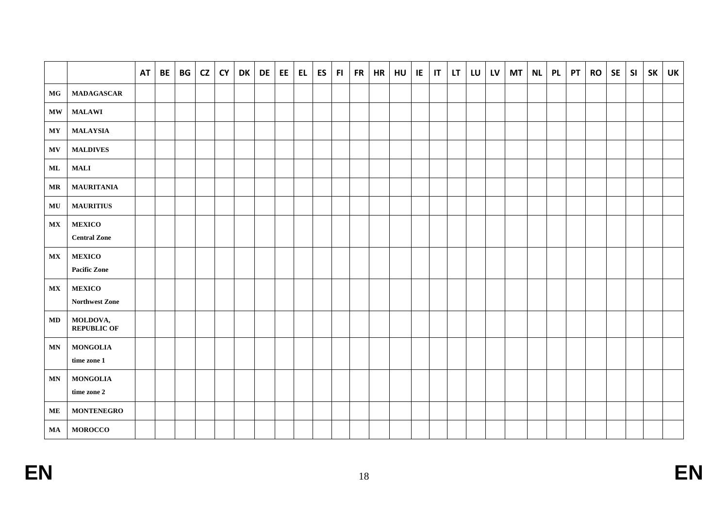|                        |                                | <b>AT</b> | <b>BE</b> | BG | <b>CZ</b> | <b>CY</b> | DK | <b>DE</b> | EE | EL. | ES | FI. | FR | HR | HU | IE | $\mathsf{I}\mathsf{T}$ | LT. | LU | LV | <b>MT</b> | <b>NL</b> | <b>PL</b> | <b>PT</b> | <b>RO</b> | <b>SE</b> | SI | <b>SK</b> | UK |
|------------------------|--------------------------------|-----------|-----------|----|-----------|-----------|----|-----------|----|-----|----|-----|----|----|----|----|------------------------|-----|----|----|-----------|-----------|-----------|-----------|-----------|-----------|----|-----------|----|
| $\mathbf{M}\mathbf{G}$ | <b>MADAGASCAR</b>              |           |           |    |           |           |    |           |    |     |    |     |    |    |    |    |                        |     |    |    |           |           |           |           |           |           |    |           |    |
| $\mathbf{M}\mathbf{W}$ | <b>MALAWI</b>                  |           |           |    |           |           |    |           |    |     |    |     |    |    |    |    |                        |     |    |    |           |           |           |           |           |           |    |           |    |
| $\bold{MY}$            | <b>MALAYSIA</b>                |           |           |    |           |           |    |           |    |     |    |     |    |    |    |    |                        |     |    |    |           |           |           |           |           |           |    |           |    |
| <b>MV</b>              | <b>MALDIVES</b>                |           |           |    |           |           |    |           |    |     |    |     |    |    |    |    |                        |     |    |    |           |           |           |           |           |           |    |           |    |
| ML                     | <b>MALI</b>                    |           |           |    |           |           |    |           |    |     |    |     |    |    |    |    |                        |     |    |    |           |           |           |           |           |           |    |           |    |
| $\bf{MR}$              | <b>MAURITANIA</b>              |           |           |    |           |           |    |           |    |     |    |     |    |    |    |    |                        |     |    |    |           |           |           |           |           |           |    |           |    |
| MU                     | <b>MAURITIUS</b>               |           |           |    |           |           |    |           |    |     |    |     |    |    |    |    |                        |     |    |    |           |           |           |           |           |           |    |           |    |
| $\mathbf{MX}$          | <b>MEXICO</b>                  |           |           |    |           |           |    |           |    |     |    |     |    |    |    |    |                        |     |    |    |           |           |           |           |           |           |    |           |    |
|                        | <b>Central Zone</b>            |           |           |    |           |           |    |           |    |     |    |     |    |    |    |    |                        |     |    |    |           |           |           |           |           |           |    |           |    |
| $\mathbf{MX}$          | <b>MEXICO</b>                  |           |           |    |           |           |    |           |    |     |    |     |    |    |    |    |                        |     |    |    |           |           |           |           |           |           |    |           |    |
|                        | <b>Pacific Zone</b>            |           |           |    |           |           |    |           |    |     |    |     |    |    |    |    |                        |     |    |    |           |           |           |           |           |           |    |           |    |
| $\mathbf{MX}$          | <b>MEXICO</b>                  |           |           |    |           |           |    |           |    |     |    |     |    |    |    |    |                        |     |    |    |           |           |           |           |           |           |    |           |    |
|                        | Northwest Zone                 |           |           |    |           |           |    |           |    |     |    |     |    |    |    |    |                        |     |    |    |           |           |           |           |           |           |    |           |    |
| MD                     | MOLDOVA,<br><b>REPUBLIC OF</b> |           |           |    |           |           |    |           |    |     |    |     |    |    |    |    |                        |     |    |    |           |           |           |           |           |           |    |           |    |
| <b>MN</b>              | <b>MONGOLIA</b>                |           |           |    |           |           |    |           |    |     |    |     |    |    |    |    |                        |     |    |    |           |           |           |           |           |           |    |           |    |
|                        | time zone 1                    |           |           |    |           |           |    |           |    |     |    |     |    |    |    |    |                        |     |    |    |           |           |           |           |           |           |    |           |    |
| <b>MN</b>              | <b>MONGOLIA</b>                |           |           |    |           |           |    |           |    |     |    |     |    |    |    |    |                        |     |    |    |           |           |           |           |           |           |    |           |    |
|                        | time zone $2\,$                |           |           |    |           |           |    |           |    |     |    |     |    |    |    |    |                        |     |    |    |           |           |           |           |           |           |    |           |    |
| ME                     | <b>MONTENEGRO</b>              |           |           |    |           |           |    |           |    |     |    |     |    |    |    |    |                        |     |    |    |           |           |           |           |           |           |    |           |    |
| MA                     | <b>MOROCCO</b>                 |           |           |    |           |           |    |           |    |     |    |     |    |    |    |    |                        |     |    |    |           |           |           |           |           |           |    |           |    |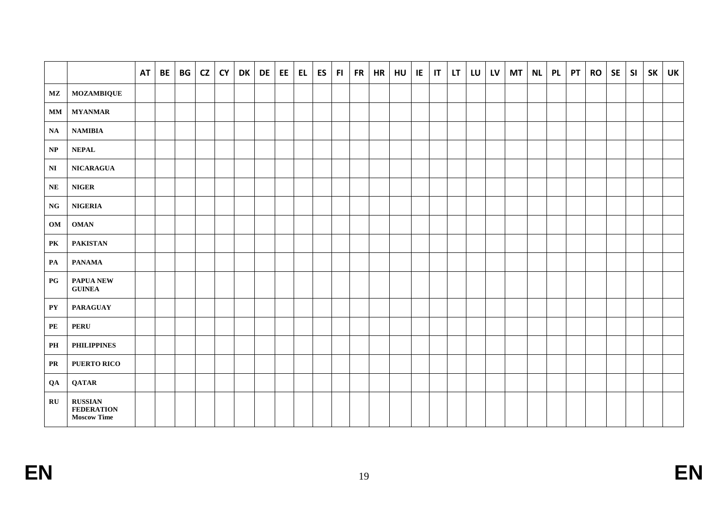|                        |                                                           | <b>AT</b> | <b>BE</b> | BG | CZ | <b>CY</b> | <b>DK</b> | DE | EE. | EL | <b>ES</b> | FI. | FR | <b>HR</b> | HU | IE | T | LT | LU LV | <b>MT</b> | <b>NL</b> | <b>PL</b> | <b>PT</b> | <b>RO</b> | <b>SE</b> | SI | <b>SK</b> | <b>UK</b> |
|------------------------|-----------------------------------------------------------|-----------|-----------|----|----|-----------|-----------|----|-----|----|-----------|-----|----|-----------|----|----|---|----|-------|-----------|-----------|-----------|-----------|-----------|-----------|----|-----------|-----------|
| MZ                     | <b>MOZAMBIQUE</b>                                         |           |           |    |    |           |           |    |     |    |           |     |    |           |    |    |   |    |       |           |           |           |           |           |           |    |           |           |
| MM                     | <b>MYANMAR</b>                                            |           |           |    |    |           |           |    |     |    |           |     |    |           |    |    |   |    |       |           |           |           |           |           |           |    |           |           |
| <b>NA</b>              | $\mathbf{NAMIBIA}$                                        |           |           |    |    |           |           |    |     |    |           |     |    |           |    |    |   |    |       |           |           |           |           |           |           |    |           |           |
| $\bf NP$               | $\bf NEPAL$                                               |           |           |    |    |           |           |    |     |    |           |     |    |           |    |    |   |    |       |           |           |           |           |           |           |    |           |           |
| $\mathbf{N}\mathbf{I}$ | <b>NICARAGUA</b>                                          |           |           |    |    |           |           |    |     |    |           |     |    |           |    |    |   |    |       |           |           |           |           |           |           |    |           |           |
| <b>NE</b>              | <b>NIGER</b>                                              |           |           |    |    |           |           |    |     |    |           |     |    |           |    |    |   |    |       |           |           |           |           |           |           |    |           |           |
| NG                     | <b>NIGERIA</b>                                            |           |           |    |    |           |           |    |     |    |           |     |    |           |    |    |   |    |       |           |           |           |           |           |           |    |           |           |
| OM                     | <b>OMAN</b>                                               |           |           |    |    |           |           |    |     |    |           |     |    |           |    |    |   |    |       |           |           |           |           |           |           |    |           |           |
| PK                     | <b>PAKISTAN</b>                                           |           |           |    |    |           |           |    |     |    |           |     |    |           |    |    |   |    |       |           |           |           |           |           |           |    |           |           |
| PA                     | <b>PANAMA</b>                                             |           |           |    |    |           |           |    |     |    |           |     |    |           |    |    |   |    |       |           |           |           |           |           |           |    |           |           |
| $_{PG}$                | PAPUA NEW<br><b>GUINEA</b>                                |           |           |    |    |           |           |    |     |    |           |     |    |           |    |    |   |    |       |           |           |           |           |           |           |    |           |           |
| ${\bf P}{\bf Y}$       | <b>PARAGUAY</b>                                           |           |           |    |    |           |           |    |     |    |           |     |    |           |    |    |   |    |       |           |           |           |           |           |           |    |           |           |
| PE                     | <b>PERU</b>                                               |           |           |    |    |           |           |    |     |    |           |     |    |           |    |    |   |    |       |           |           |           |           |           |           |    |           |           |
| PH                     | <b>PHILIPPINES</b>                                        |           |           |    |    |           |           |    |     |    |           |     |    |           |    |    |   |    |       |           |           |           |           |           |           |    |           |           |
| <b>PR</b>              | PUERTO RICO                                               |           |           |    |    |           |           |    |     |    |           |     |    |           |    |    |   |    |       |           |           |           |           |           |           |    |           |           |
| QA                     | <b>QATAR</b>                                              |           |           |    |    |           |           |    |     |    |           |     |    |           |    |    |   |    |       |           |           |           |           |           |           |    |           |           |
| $\mathbf{R}$ U         | <b>RUSSIAN</b><br><b>FEDERATION</b><br><b>Moscow Time</b> |           |           |    |    |           |           |    |     |    |           |     |    |           |    |    |   |    |       |           |           |           |           |           |           |    |           |           |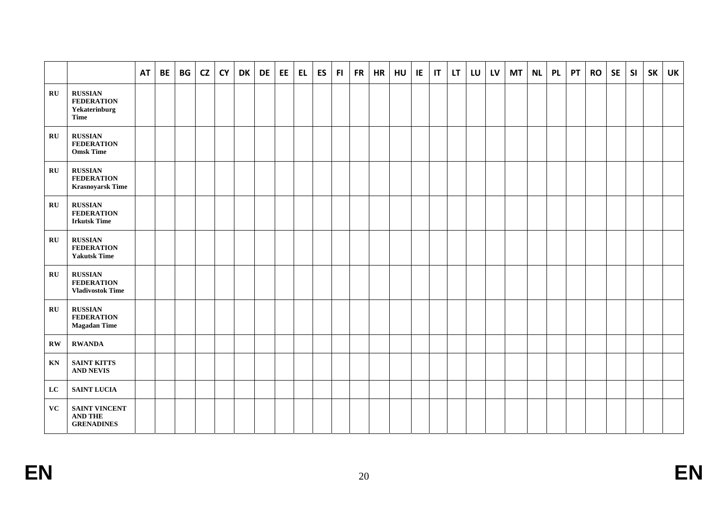|                         |                                                                | <b>AT</b> | BE | BG | CZ | <b>CY</b> | <b>DK</b> | <b>DE</b> | EE | EL. | <b>ES</b> | F1 | FR | <b>HR</b> | HU | IE. | $\mathsf{I}\mathsf{T}$ | LT. | LU | LV | <b>MT</b> | <b>NL</b> | <b>PL</b> | <b>PT</b> | <b>RO</b> | <b>SE</b> | SI | <b>SK</b> | <b>UK</b> |
|-------------------------|----------------------------------------------------------------|-----------|----|----|----|-----------|-----------|-----------|----|-----|-----------|----|----|-----------|----|-----|------------------------|-----|----|----|-----------|-----------|-----------|-----------|-----------|-----------|----|-----------|-----------|
| $\mathbf{R}$ U          | <b>RUSSIAN</b><br><b>FEDERATION</b><br>Yekaterinburg<br>Time   |           |    |    |    |           |           |           |    |     |           |    |    |           |    |     |                        |     |    |    |           |           |           |           |           |           |    |           |           |
| $\mathbf{R}$ U          | <b>RUSSIAN</b><br><b>FEDERATION</b><br><b>Omsk Time</b>        |           |    |    |    |           |           |           |    |     |           |    |    |           |    |     |                        |     |    |    |           |           |           |           |           |           |    |           |           |
| $\mathbf{R}$ U          | <b>RUSSIAN</b><br><b>FEDERATION</b><br><b>Krasnoyarsk Time</b> |           |    |    |    |           |           |           |    |     |           |    |    |           |    |     |                        |     |    |    |           |           |           |           |           |           |    |           |           |
| $\mathbf{R}$ U          | <b>RUSSIAN</b><br><b>FEDERATION</b><br><b>Irkutsk Time</b>     |           |    |    |    |           |           |           |    |     |           |    |    |           |    |     |                        |     |    |    |           |           |           |           |           |           |    |           |           |
| $\mathbf{R}$ U          | <b>RUSSIAN</b><br><b>FEDERATION</b><br><b>Yakutsk Time</b>     |           |    |    |    |           |           |           |    |     |           |    |    |           |    |     |                        |     |    |    |           |           |           |           |           |           |    |           |           |
| $\mathbf{R}$ U          | <b>RUSSIAN</b><br><b>FEDERATION</b><br><b>Vladivostok Time</b> |           |    |    |    |           |           |           |    |     |           |    |    |           |    |     |                        |     |    |    |           |           |           |           |           |           |    |           |           |
| $\mathbf{R}$ U          | <b>RUSSIAN</b><br><b>FEDERATION</b><br><b>Magadan Time</b>     |           |    |    |    |           |           |           |    |     |           |    |    |           |    |     |                        |     |    |    |           |           |           |           |           |           |    |           |           |
| $\mathbf{R}\mathbf{W}$  | <b>RWANDA</b>                                                  |           |    |    |    |           |           |           |    |     |           |    |    |           |    |     |                        |     |    |    |           |           |           |           |           |           |    |           |           |
| $\mathbf{K} \mathbf{N}$ | <b>SAINT KITTS</b><br><b>AND NEVIS</b>                         |           |    |    |    |           |           |           |    |     |           |    |    |           |    |     |                        |     |    |    |           |           |           |           |           |           |    |           |           |
| $\mathbf{L}\mathbf{C}$  | <b>SAINT LUCIA</b>                                             |           |    |    |    |           |           |           |    |     |           |    |    |           |    |     |                        |     |    |    |           |           |           |           |           |           |    |           |           |
| <b>VC</b>               | SAINT VINCENT<br><b>AND THE</b><br><b>GRENADINES</b>           |           |    |    |    |           |           |           |    |     |           |    |    |           |    |     |                        |     |    |    |           |           |           |           |           |           |    |           |           |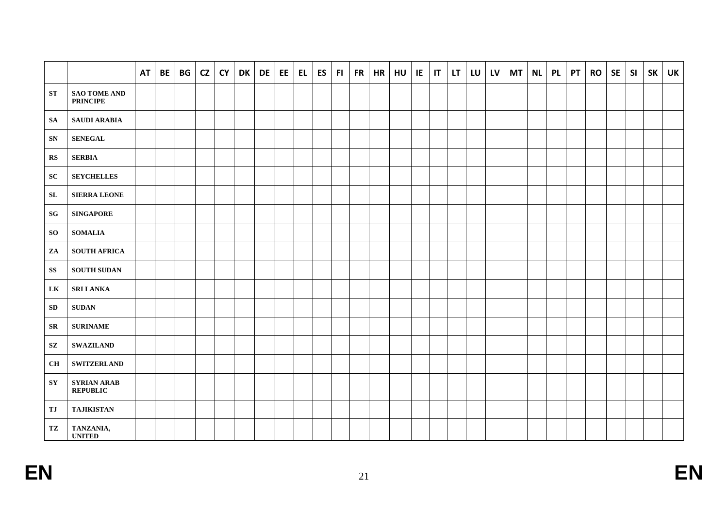|                        |                                        | <b>AT</b> | <b>BE</b> | BG | <b>CZ</b> | <b>CY</b> | DK | <b>DE</b> | EE | EL. | <b>ES</b> | FI. | FR | <b>HR</b> | HU | IE | $\mathbf{I}$ | LT. | LU | <b>LV</b> | <b>MT</b> | <b>NL</b> | <b>PL</b> | <b>PT</b> | <b>RO</b> | <b>SE</b> | SI | <b>SK</b> | <b>UK</b> |
|------------------------|----------------------------------------|-----------|-----------|----|-----------|-----------|----|-----------|----|-----|-----------|-----|----|-----------|----|----|--------------|-----|----|-----------|-----------|-----------|-----------|-----------|-----------|-----------|----|-----------|-----------|
| ${\bf ST}$             | <b>SAO TOME AND</b><br><b>PRINCIPE</b> |           |           |    |           |           |    |           |    |     |           |     |    |           |    |    |              |     |    |           |           |           |           |           |           |           |    |           |           |
| <b>SA</b>              | <b>SAUDI ARABIA</b>                    |           |           |    |           |           |    |           |    |     |           |     |    |           |    |    |              |     |    |           |           |           |           |           |           |           |    |           |           |
| ${\bf SN}$             | <b>SENEGAL</b>                         |           |           |    |           |           |    |           |    |     |           |     |    |           |    |    |              |     |    |           |           |           |           |           |           |           |    |           |           |
| $\mathbf{R}$           | <b>SERBIA</b>                          |           |           |    |           |           |    |           |    |     |           |     |    |           |    |    |              |     |    |           |           |           |           |           |           |           |    |           |           |
| SC                     | <b>SEYCHELLES</b>                      |           |           |    |           |           |    |           |    |     |           |     |    |           |    |    |              |     |    |           |           |           |           |           |           |           |    |           |           |
| ${\bf SL}$             | <b>SIERRA LEONE</b>                    |           |           |    |           |           |    |           |    |     |           |     |    |           |    |    |              |     |    |           |           |           |           |           |           |           |    |           |           |
| SG                     | <b>SINGAPORE</b>                       |           |           |    |           |           |    |           |    |     |           |     |    |           |    |    |              |     |    |           |           |           |           |           |           |           |    |           |           |
| <b>SO</b>              | <b>SOMALIA</b>                         |           |           |    |           |           |    |           |    |     |           |     |    |           |    |    |              |     |    |           |           |           |           |           |           |           |    |           |           |
| ZA                     | <b>SOUTH AFRICA</b>                    |           |           |    |           |           |    |           |    |     |           |     |    |           |    |    |              |     |    |           |           |           |           |           |           |           |    |           |           |
| $\mathbf{S}\mathbf{S}$ | <b>SOUTH SUDAN</b>                     |           |           |    |           |           |    |           |    |     |           |     |    |           |    |    |              |     |    |           |           |           |           |           |           |           |    |           |           |
| LK                     | <b>SRI LANKA</b>                       |           |           |    |           |           |    |           |    |     |           |     |    |           |    |    |              |     |    |           |           |           |           |           |           |           |    |           |           |
| SD                     | <b>SUDAN</b>                           |           |           |    |           |           |    |           |    |     |           |     |    |           |    |    |              |     |    |           |           |           |           |           |           |           |    |           |           |
| SR                     | <b>SURINAME</b>                        |           |           |    |           |           |    |           |    |     |           |     |    |           |    |    |              |     |    |           |           |           |           |           |           |           |    |           |           |
| $\mathbf{S}\mathbf{Z}$ | <b>SWAZILAND</b>                       |           |           |    |           |           |    |           |    |     |           |     |    |           |    |    |              |     |    |           |           |           |           |           |           |           |    |           |           |
| CH                     | <b>SWITZERLAND</b>                     |           |           |    |           |           |    |           |    |     |           |     |    |           |    |    |              |     |    |           |           |           |           |           |           |           |    |           |           |
| ${\bf S}{\bf Y}$       | <b>SYRIAN ARAB</b><br><b>REPUBLIC</b>  |           |           |    |           |           |    |           |    |     |           |     |    |           |    |    |              |     |    |           |           |           |           |           |           |           |    |           |           |
| $\mathbf{T}\mathbf{J}$ | <b>TAJIKISTAN</b>                      |           |           |    |           |           |    |           |    |     |           |     |    |           |    |    |              |     |    |           |           |           |           |           |           |           |    |           |           |
| TZ                     | TANZANIA,<br><b>UNITED</b>             |           |           |    |           |           |    |           |    |     |           |     |    |           |    |    |              |     |    |           |           |           |           |           |           |           |    |           |           |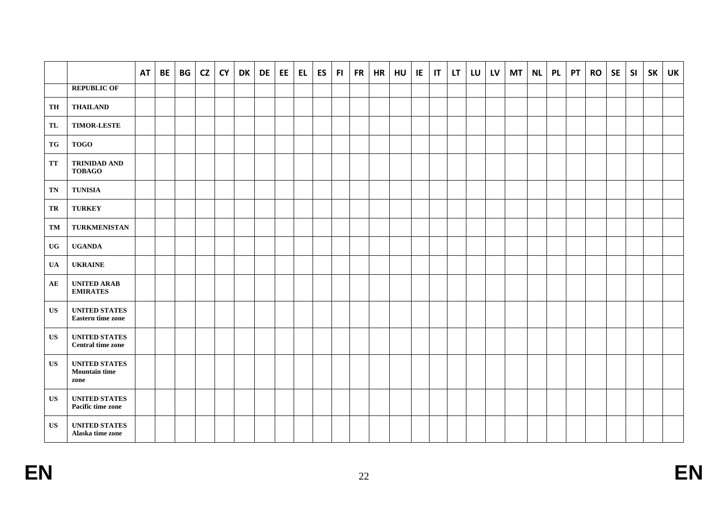|                        |                                                      | <b>AT</b> | <b>BE</b> | BG | <b>CZ</b> | <b>CY</b> | DK | DE | EE. | EL. | ES | F1 | FR | <b>HR</b> | HU | IE | $\mathsf{I}$ | LT. | LU | <b>LV</b> | <b>MT</b> | <b>NL</b> | <b>PL</b> | <b>PT</b> | <b>RO</b> | <b>SE</b> | <b>SI</b> | <b>SK</b> | <b>UK</b> |
|------------------------|------------------------------------------------------|-----------|-----------|----|-----------|-----------|----|----|-----|-----|----|----|----|-----------|----|----|--------------|-----|----|-----------|-----------|-----------|-----------|-----------|-----------|-----------|-----------|-----------|-----------|
|                        | <b>REPUBLIC OF</b>                                   |           |           |    |           |           |    |    |     |     |    |    |    |           |    |    |              |     |    |           |           |           |           |           |           |           |           |           |           |
| TH                     | <b>THAILAND</b>                                      |           |           |    |           |           |    |    |     |     |    |    |    |           |    |    |              |     |    |           |           |           |           |           |           |           |           |           |           |
| TL                     | <b>TIMOR-LESTE</b>                                   |           |           |    |           |           |    |    |     |     |    |    |    |           |    |    |              |     |    |           |           |           |           |           |           |           |           |           |           |
| ${\bf T} {\bf G}$      | <b>TOGO</b>                                          |           |           |    |           |           |    |    |     |     |    |    |    |           |    |    |              |     |    |           |           |           |           |           |           |           |           |           |           |
| TT                     | <b>TRINIDAD AND</b><br><b>TOBAGO</b>                 |           |           |    |           |           |    |    |     |     |    |    |    |           |    |    |              |     |    |           |           |           |           |           |           |           |           |           |           |
| TN                     | <b>TUNISIA</b>                                       |           |           |    |           |           |    |    |     |     |    |    |    |           |    |    |              |     |    |           |           |           |           |           |           |           |           |           |           |
| TR                     | <b>TURKEY</b>                                        |           |           |    |           |           |    |    |     |     |    |    |    |           |    |    |              |     |    |           |           |           |           |           |           |           |           |           |           |
| TM                     | TURKMENISTAN                                         |           |           |    |           |           |    |    |     |     |    |    |    |           |    |    |              |     |    |           |           |           |           |           |           |           |           |           |           |
| $\mathbf{U}\mathbf{G}$ | <b>UGANDA</b>                                        |           |           |    |           |           |    |    |     |     |    |    |    |           |    |    |              |     |    |           |           |           |           |           |           |           |           |           |           |
| <b>UA</b>              | <b>UKRAINE</b>                                       |           |           |    |           |           |    |    |     |     |    |    |    |           |    |    |              |     |    |           |           |           |           |           |           |           |           |           |           |
| AE                     | <b>UNITED ARAB</b><br><b>EMIRATES</b>                |           |           |    |           |           |    |    |     |     |    |    |    |           |    |    |              |     |    |           |           |           |           |           |           |           |           |           |           |
| US                     | <b>UNITED STATES</b><br><b>Eastern time zone</b>     |           |           |    |           |           |    |    |     |     |    |    |    |           |    |    |              |     |    |           |           |           |           |           |           |           |           |           |           |
| <b>US</b>              | <b>UNITED STATES</b><br><b>Central time zone</b>     |           |           |    |           |           |    |    |     |     |    |    |    |           |    |    |              |     |    |           |           |           |           |           |           |           |           |           |           |
| US                     | <b>UNITED STATES</b><br><b>Mountain time</b><br>zone |           |           |    |           |           |    |    |     |     |    |    |    |           |    |    |              |     |    |           |           |           |           |           |           |           |           |           |           |
| US                     | <b>UNITED STATES</b><br>Pacific time zone            |           |           |    |           |           |    |    |     |     |    |    |    |           |    |    |              |     |    |           |           |           |           |           |           |           |           |           |           |
| <b>US</b>              | <b>UNITED STATES</b><br>Alaska time zone             |           |           |    |           |           |    |    |     |     |    |    |    |           |    |    |              |     |    |           |           |           |           |           |           |           |           |           |           |